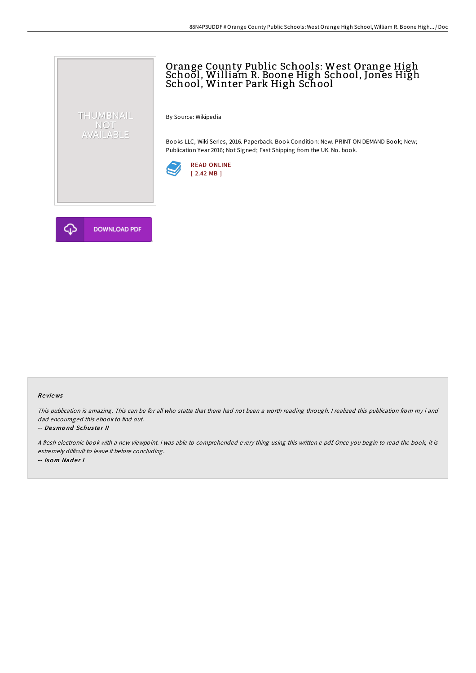## Orange County Public Schools: West Orange High School, William R. Boone High School, Jones High School, Winter Park High School

By Source: Wikipedia

Books LLC, Wiki Series, 2016. Paperback. Book Condition: New. PRINT ON DEMAND Book; New; Publication Year 2016; Not Signed; Fast Shipping from the UK. No. book.





THUMBNAIL NOT<br>AVAILABLE

## Re views

This publication is amazing. This can be for all who statte that there had not been <sup>a</sup> worth reading through. <sup>I</sup> realized this publication from my i and dad encouraged this ebook to find out.

## -- De smo nd Schus te <sup>r</sup> II

<sup>A</sup> fresh electronic book with <sup>a</sup> new viewpoint. <sup>I</sup> was able to comprehended every thing using this written <sup>e</sup> pdf. Once you begin to read the book, it is extremely difficult to leave it before concluding. -- Isom Nader I